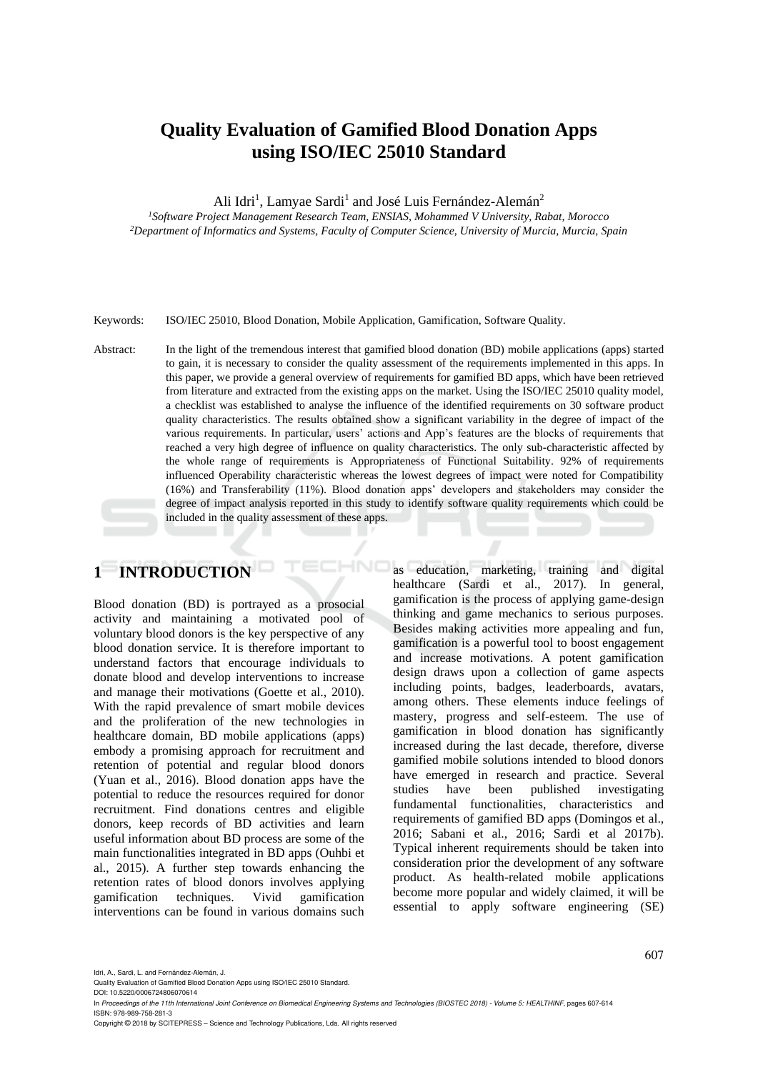# **Quality Evaluation of Gamified Blood Donation Apps using ISO/IEC 25010 Standard**

Ali Idri<sup>1</sup>, Lamyae Sardi<sup>1</sup> and José Luis Fernández-Alemán<sup>2</sup>

*<sup>1</sup>Software Project Management Research Team, ENSIAS, Mohammed V University, Rabat, Morocco <sup>2</sup>Department of Informatics and Systems, Faculty of Computer Science, University of Murcia, Murcia, Spain*

Keywords: ISO/IEC 25010, Blood Donation, Mobile Application, Gamification, Software Quality.

Abstract: In the light of the tremendous interest that gamified blood donation (BD) mobile applications (apps) started to gain, it is necessary to consider the quality assessment of the requirements implemented in this apps. In this paper, we provide a general overview of requirements for gamified BD apps, which have been retrieved from literature and extracted from the existing apps on the market. Using the ISO/IEC 25010 quality model, a checklist was established to analyse the influence of the identified requirements on 30 software product quality characteristics. The results obtained show a significant variability in the degree of impact of the various requirements. In particular, users' actions and App's features are the blocks of requirements that reached a very high degree of influence on quality characteristics. The only sub-characteristic affected by the whole range of requirements is Appropriateness of Functional Suitability. 92% of requirements influenced Operability characteristic whereas the lowest degrees of impact were noted for Compatibility (16%) and Transferability (11%). Blood donation apps' developers and stakeholders may consider the degree of impact analysis reported in this study to identify software quality requirements which could be included in the quality assessment of these apps.

HNC

# **1 INTRODUCTION**

Blood donation (BD) is portrayed as a prosocial activity and maintaining a motivated pool of voluntary blood donors is the key perspective of any blood donation service. It is therefore important to understand factors that encourage individuals to donate blood and develop interventions to increase and manage their motivations (Goette et al., 2010). With the rapid prevalence of smart mobile devices and the proliferation of the new technologies in healthcare domain, BD mobile applications (apps) embody a promising approach for recruitment and retention of potential and regular blood donors (Yuan et al., 2016). Blood donation apps have the potential to reduce the resources required for donor recruitment. Find donations centres and eligible donors, keep records of BD activities and learn useful information about BD process are some of the main functionalities integrated in BD apps (Ouhbi et al., 2015). A further step towards enhancing the retention rates of blood donors involves applying gamification techniques. Vivid gamification interventions can be found in various domains such

as education, marketing, training and digital healthcare (Sardi et al., 2017). In general, gamification is the process of applying game-design thinking and game mechanics to serious purposes. Besides making activities more appealing and fun, gamification is a powerful tool to boost engagement and increase motivations. A potent gamification design draws upon a collection of game aspects including points, badges, leaderboards, avatars, among others. These elements induce feelings of mastery, progress and self-esteem. The use of gamification in blood donation has significantly increased during the last decade, therefore, diverse gamified mobile solutions intended to blood donors have emerged in research and practice. Several studies have been published investigating fundamental functionalities, characteristics and requirements of gamified BD apps (Domingos et al., 2016; Sabani et al., 2016; Sardi et al 2017b). Typical inherent requirements should be taken into consideration prior the development of any software product. As health-related mobile applications become more popular and widely claimed, it will be essential to apply software engineering (SE)

Idri, A., Sardi, L. and Fernández-Alemán, J.

DOI: 10.5220/0006724806070614

In *Proceedings of the 11th International Joint Conference on Biomedical Engineering Systems and Technologies (BIOSTEC 2018) - Volume 5: HEALTHINF*, pages 607-614 ISBN: 978-989-758-281-3

Copyright © 2018 by SCITEPRESS – Science and Technology Publications, Lda. All rights reserved

Quality Evaluation of Gamified Blood Donation Apps using ISO/IEC 25010 Standard.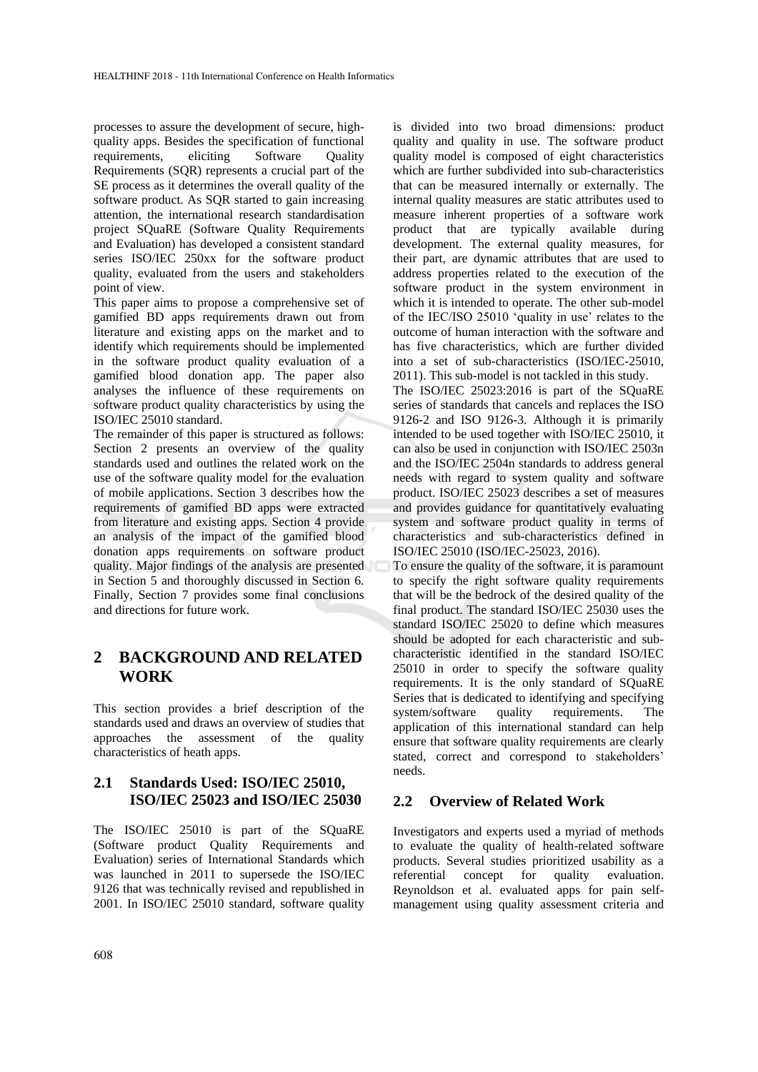processes to assure the development of secure, highquality apps. Besides the specification of functional requirements, eliciting Software Quality Requirements (SQR) represents a crucial part of the SE process as it determines the overall quality of the software product. As SQR started to gain increasing attention, the international research standardisation project SQuaRE (Software Quality Requirements and Evaluation) has developed a consistent standard series ISO/IEC 250xx for the software product quality, evaluated from the users and stakeholders point of view.

This paper aims to propose a comprehensive set of gamified BD apps requirements drawn out from literature and existing apps on the market and to identify which requirements should be implemented in the software product quality evaluation of a gamified blood donation app. The paper also analyses the influence of these requirements on software product quality characteristics by using the ISO/IEC 25010 standard.

The remainder of this paper is structured as follows: Section 2 presents an overview of the quality standards used and outlines the related work on the use of the software quality model for the evaluation of mobile applications. Section 3 describes how the requirements of gamified BD apps were extracted from literature and existing apps. Section 4 provide an analysis of the impact of the gamified blood donation apps requirements on software product quality. Major findings of the analysis are presented in Section 5 and thoroughly discussed in Section 6. Finally, Section 7 provides some final conclusions and directions for future work.

# **2 BACKGROUND AND RELATED WORK**

This section provides a brief description of the standards used and draws an overview of studies that approaches the assessment of the quality characteristics of heath apps.

# **2.1 Standards Used: ISO/IEC 25010, ISO/IEC 25023 and ISO/IEC 25030**

The ISO/IEC 25010 is part of the SQuaRE (Software product Quality Requirements and Evaluation) series of International Standards which was launched in 2011 to supersede the ISO/IEC 9126 that was technically revised and republished in 2001. In ISO/IEC 25010 standard, software quality is divided into two broad dimensions: product quality and quality in use. The software product quality model is composed of eight characteristics which are further subdivided into sub-characteristics that can be measured internally or externally. The internal quality measures are static attributes used to measure inherent properties of a software work product that are typically available during development. The external quality measures, for their part, are dynamic attributes that are used to address properties related to the execution of the software product in the system environment in which it is intended to operate. The other sub-model of the IEC/ISO 25010 'quality in use' relates to the outcome of human interaction with the software and has five characteristics, which are further divided into a set of sub-characteristics (ISO/IEC-25010, 2011). This sub-model is not tackled in this study.

The ISO/IEC 25023:2016 is part of the SQuaRE series of standards that cancels and replaces the ISO 9126-2 and ISO 9126-3. Although it is primarily intended to be used together with ISO/IEC 25010, it can also be used in conjunction with ISO/IEC 2503n and the ISO/IEC 2504n standards to address general needs with regard to system quality and software product. ISO/IEC 25023 describes a set of measures and provides guidance for quantitatively evaluating system and software product quality in terms of characteristics and sub-characteristics defined in ISO/IEC 25010 (ISO/IEC-25023, 2016).

To ensure the quality of the software, it is paramount to specify the right software quality requirements that will be the bedrock of the desired quality of the final product. The standard ISO/IEC 25030 uses the standard ISO/IEC 25020 to define which measures should be adopted for each characteristic and subcharacteristic identified in the standard ISO/IEC 25010 in order to specify the software quality requirements. It is the only standard of SQuaRE Series that is dedicated to identifying and specifying system/software quality requirements. The application of this international standard can help ensure that software quality requirements are clearly stated, correct and correspond to stakeholders' needs.

# **2.2 Overview of Related Work**

Investigators and experts used a myriad of methods to evaluate the quality of health-related software products. Several studies prioritized usability as a referential concept for quality evaluation. Reynoldson et al. evaluated apps for pain selfmanagement using quality assessment criteria and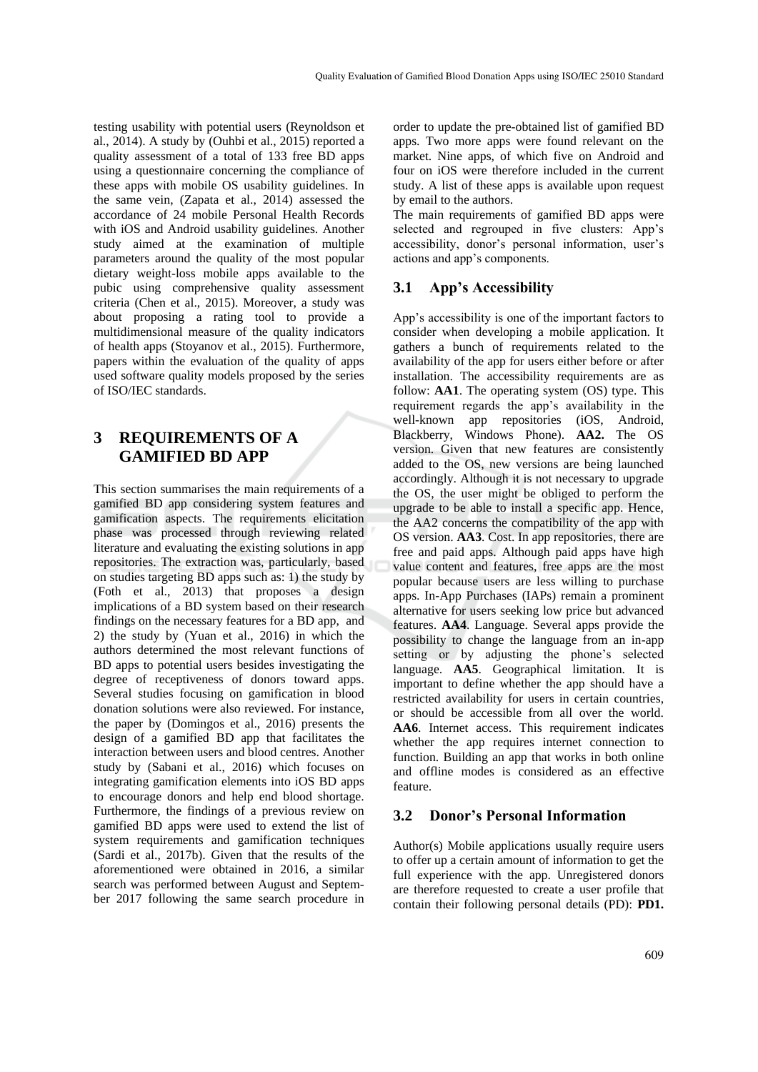testing usability with potential users (Reynoldson et al., 2014). A study by (Ouhbi et al., 2015) reported a quality assessment of a total of 133 free BD apps using a questionnaire concerning the compliance of these apps with mobile OS usability guidelines. In the same vein, (Zapata et al., 2014) assessed the accordance of 24 mobile Personal Health Records with iOS and Android usability guidelines. Another study aimed at the examination of multiple parameters around the quality of the most popular dietary weight-loss mobile apps available to the pubic using comprehensive quality assessment criteria (Chen et al., 2015). Moreover, a study was about proposing a rating tool to provide a multidimensional measure of the quality indicators of health apps (Stoyanov et al., 2015). Furthermore, papers within the evaluation of the quality of apps used software quality models proposed by the series of ISO/IEC standards.

# **3 REQUIREMENTS OF A GAMIFIED BD APP**

This section summarises the main requirements of a gamified BD app considering system features and gamification aspects. The requirements elicitation phase was processed through reviewing related literature and evaluating the existing solutions in app repositories. The extraction was, particularly, based on studies targeting BD apps such as: 1) the study by (Foth et al., 2013) that proposes a design implications of a BD system based on their research findings on the necessary features for a BD app, and 2) the study by (Yuan et al., 2016) in which the authors determined the most relevant functions of BD apps to potential users besides investigating the degree of receptiveness of donors toward apps. Several studies focusing on gamification in blood donation solutions were also reviewed. For instance, the paper by (Domingos et al., 2016) presents the design of a gamified BD app that facilitates the interaction between users and blood centres. Another study by (Sabani et al., 2016) which focuses on integrating gamification elements into iOS BD apps to encourage donors and help end blood shortage. Furthermore, the findings of a previous review on gamified BD apps were used to extend the list of system requirements and gamification techniques (Sardi et al., 2017b). Given that the results of the aforementioned were obtained in 2016, a similar search was performed between August and September 2017 following the same search procedure in

order to update the pre-obtained list of gamified BD apps. Two more apps were found relevant on the market. Nine apps, of which five on Android and four on iOS were therefore included in the current study. A list of these apps is available upon request by email to the authors.

The main requirements of gamified BD apps were selected and regrouped in five clusters: App's accessibility, donor's personal information, user's actions and app's components.

# **3.1 App's Accessibility**

App's accessibility is one of the important factors to consider when developing a mobile application. It gathers a bunch of requirements related to the availability of the app for users either before or after installation. The accessibility requirements are as follow: **AA1**. The operating system (OS) type. This requirement regards the app's availability in the well-known app repositories (iOS, Android, Blackberry, Windows Phone). **AA2.** The OS version. Given that new features are consistently added to the OS, new versions are being launched accordingly. Although it is not necessary to upgrade the OS, the user might be obliged to perform the upgrade to be able to install a specific app. Hence, the AA2 concerns the compatibility of the app with OS version. **AA3**. Cost. In app repositories, there are free and paid apps. Although paid apps have high value content and features, free apps are the most popular because users are less willing to purchase apps. In-App Purchases (IAPs) remain a prominent alternative for users seeking low price but advanced features. **AA4**. Language. Several apps provide the possibility to change the language from an in-app setting or by adjusting the phone's selected language. **AA5**. Geographical limitation. It is important to define whether the app should have a restricted availability for users in certain countries, or should be accessible from all over the world. AA6. Internet access. This requirement indicates whether the app requires internet connection to function. Building an app that works in both online and offline modes is considered as an effective feature.

### **3.2 Donor's Personal Information**

Author(s) Mobile applications usually require users to offer up a certain amount of information to get the full experience with the app. Unregistered donors are therefore requested to create a user profile that contain their following personal details (PD): **PD1.**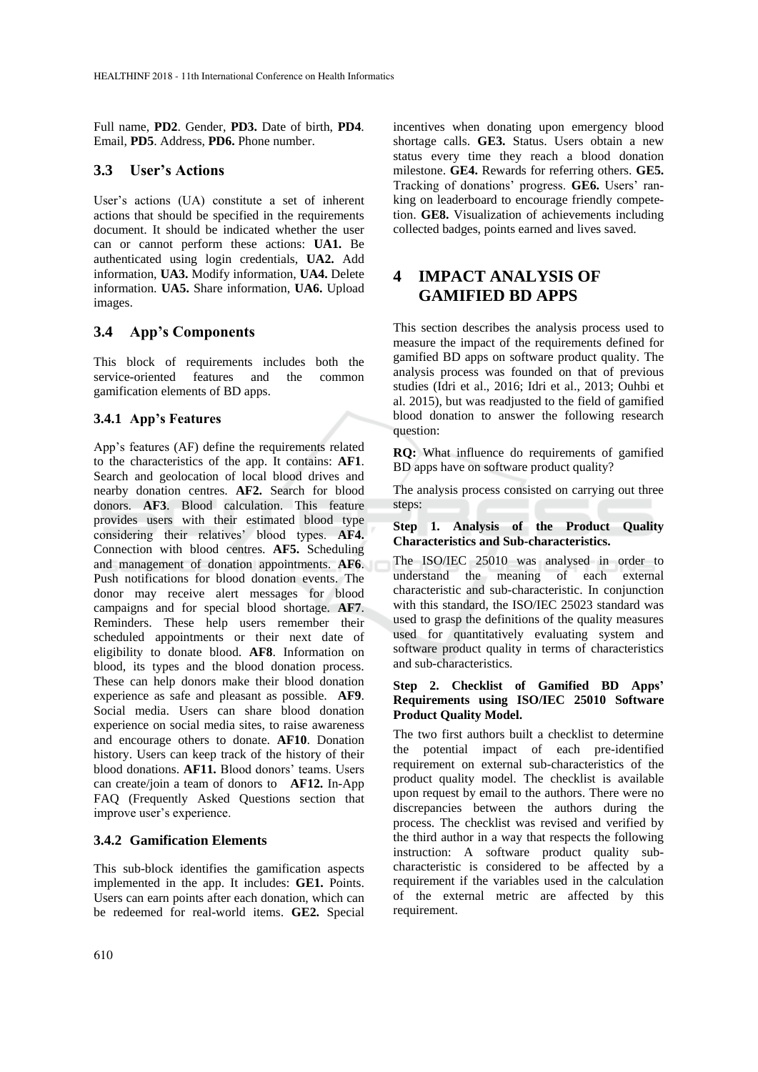Full name, **PD2**. Gender, **PD3.** Date of birth, **PD4**. Email, **PD5**. Address, **PD6.** Phone number.

#### **3.3 User's Actions**

User's actions (UA) constitute a set of inherent actions that should be specified in the requirements document. It should be indicated whether the user can or cannot perform these actions: **UA1.** Be authenticated using login credentials, **UA2.** Add information, **UA3.** Modify information, **UA4.** Delete information. **UA5.** Share information, **UA6.** Upload images.

### **3.4 App's Components**

This block of requirements includes both the service-oriented features and the common gamification elements of BD apps.

#### **3.4.1 App's Features**

App's features (AF) define the requirements related to the characteristics of the app. It contains: **AF1**. Search and geolocation of local blood drives and nearby donation centres. **AF2.** Search for blood donors. **AF3**. Blood calculation. This feature provides users with their estimated blood type considering their relatives' blood types. **AF4.**  Connection with blood centres. **AF5.** Scheduling and management of donation appointments. **AF6**. Push notifications for blood donation events. The donor may receive alert messages for blood campaigns and for special blood shortage. **AF7**. Reminders. These help users remember their scheduled appointments or their next date of eligibility to donate blood. **AF8**. Information on blood, its types and the blood donation process. These can help donors make their blood donation experience as safe and pleasant as possible. **AF9**. Social media. Users can share blood donation experience on social media sites, to raise awareness and encourage others to donate. **AF10**. Donation history. Users can keep track of the history of their blood donations. **AF11.** Blood donors' teams. Users can create/join a team of donors to **AF12.** In-App FAQ (Frequently Asked Questions section that improve user's experience.

#### **3.4.2 Gamification Elements**

This sub-block identifies the gamification aspects implemented in the app. It includes: **GE1.** Points. Users can earn points after each donation, which can be redeemed for real-world items. **GE2.** Special

incentives when donating upon emergency blood shortage calls. **GE3.** Status. Users obtain a new status every time they reach a blood donation milestone. **GE4.** Rewards for referring others. **GE5.** Tracking of donations' progress. **GE6.** Users' ranking on leaderboard to encourage friendly competetion. **GE8.** Visualization of achievements including collected badges, points earned and lives saved.

# **4 IMPACT ANALYSIS OF GAMIFIED BD APPS**

This section describes the analysis process used to measure the impact of the requirements defined for gamified BD apps on software product quality. The analysis process was founded on that of previous studies (Idri et al., 2016; Idri et al., 2013; Ouhbi et al. 2015), but was readjusted to the field of gamified blood donation to answer the following research question:

**RQ:** What influence do requirements of gamified BD apps have on software product quality?

The analysis process consisted on carrying out three steps:

**Step 1. Analysis of the Product Quality Characteristics and Sub-characteristics.**

The ISO/IEC 25010 was analysed in order to understand the meaning of each external characteristic and sub-characteristic. In conjunction with this standard, the ISO/IEC 25023 standard was used to grasp the definitions of the quality measures used for quantitatively evaluating system and software product quality in terms of characteristics and sub-characteristics.

#### **Step 2. Checklist of Gamified BD Apps' Requirements using ISO/IEC 25010 Software Product Quality Model.**

The two first authors built a checklist to determine the potential impact of each pre-identified requirement on external sub-characteristics of the product quality model. The checklist is available upon request by email to the authors. There were no discrepancies between the authors during the process. The checklist was revised and verified by the third author in a way that respects the following instruction: A software product quality subcharacteristic is considered to be affected by a requirement if the variables used in the calculation of the external metric are affected by this requirement.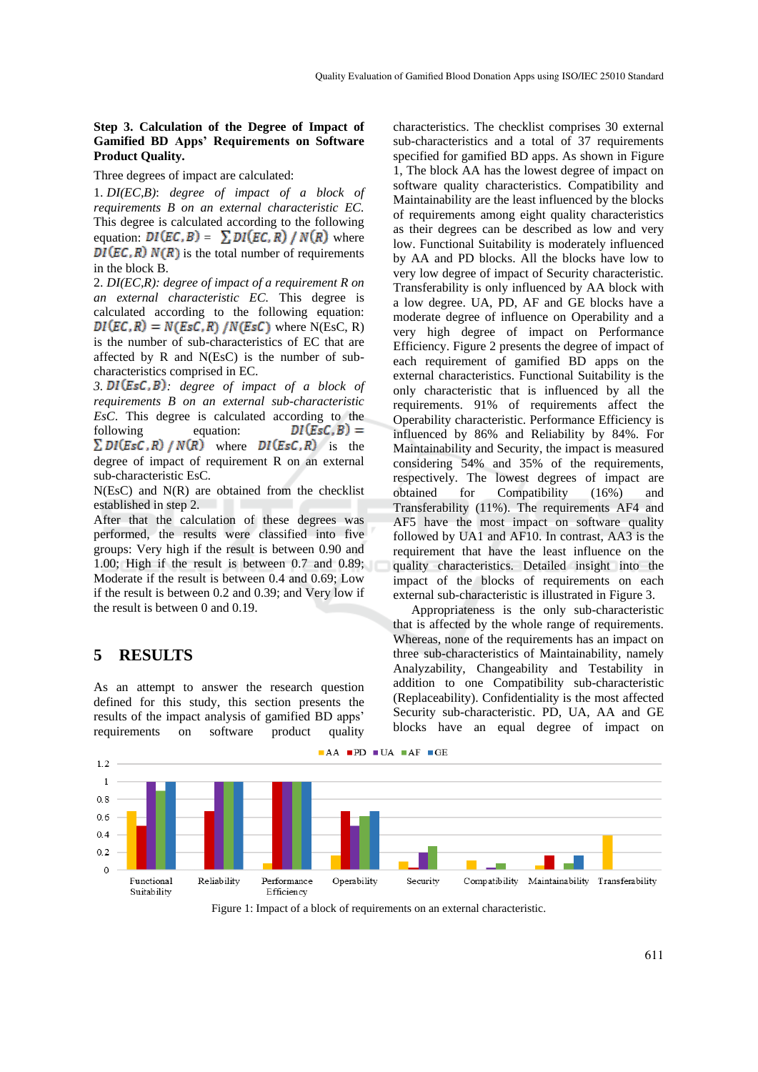#### **Step 3. Calculation of the Degree of Impact of Gamified BD Apps' Requirements on Software Product Quality.**

Three degrees of impact are calculated:

1. *DI(EC,B)*: *degree of impact of a block of requirements B on an external characteristic EC.*  This degree is calculated according to the following equation:  $DI(EC, B) = \sum DI(EC, R) / N(R)$  where  $DI(EC, R) N(R)$  is the total number of requirements in the block B.

2. *DI(EC,R): degree of impact of a requirement R on an external characteristic EC.* This degree is calculated according to the following equation:  $DI(EC, R) = N(Esc, R) / N(EsC)$  where N(EsC, R) is the number of sub-characteristics of EC that are affected by R and N(EsC) is the number of subcharacteristics comprised in EC.

*3. : degree of impact of a block of requirements B on an external sub-characteristic EsC*. This degree is calculated according to the following equation:  $DI(EsC, B) =$  $\Sigma DI(EsC, R) / N(R)$  where  $DI(EsC, R)$  is the degree of impact of requirement R on an external sub-characteristic EsC*.*

N(EsC) and N(R) are obtained from the checklist established in step 2.

After that the calculation of these degrees was performed, the results were classified into five groups: Very high if the result is between 0.90 and 1.00; High if the result is between 0.7 and 0.89; Moderate if the result is between 0.4 and 0.69; Low if the result is between 0.2 and 0.39; and Very low if the result is between 0 and 0.19.

### **5 RESULTS**

As an attempt to answer the research question defined for this study, this section presents the results of the impact analysis of gamified BD apps' requirements on software product quality

characteristics. The checklist comprises 30 external sub-characteristics and a total of 37 requirements specified for gamified BD apps. As shown in Figure 1, The block AA has the lowest degree of impact on software quality characteristics. Compatibility and Maintainability are the least influenced by the blocks of requirements among eight quality characteristics as their degrees can be described as low and very low. Functional Suitability is moderately influenced by AA and PD blocks. All the blocks have low to very low degree of impact of Security characteristic. Transferability is only influenced by AA block with a low degree. UA, PD, AF and GE blocks have a moderate degree of influence on Operability and a very high degree of impact on Performance Efficiency. Figure 2 presents the degree of impact of each requirement of gamified BD apps on the external characteristics. Functional Suitability is the only characteristic that is influenced by all the requirements. 91% of requirements affect the Operability characteristic. Performance Efficiency is influenced by 86% and Reliability by 84%. For Maintainability and Security, the impact is measured considering 54% and 35% of the requirements, respectively. The lowest degrees of impact are obtained for Compatibility (16%) and Transferability (11%). The requirements AF4 and AF5 have the most impact on software quality followed by UA1 and AF10. In contrast, AA3 is the requirement that have the least influence on the quality characteristics. Detailed insight into the impact of the blocks of requirements on each external sub-characteristic is illustrated in Figure 3.

Appropriateness is the only sub-characteristic that is affected by the whole range of requirements. Whereas, none of the requirements has an impact on three sub-characteristics of Maintainability, namely Analyzability, Changeability and Testability in addition to one Compatibility sub-characteristic (Replaceability). Confidentiality is the most affected Security sub-characteristic. PD, UA, AA and GE blocks have an equal degree of impact on



Figure 1: Impact of a block of requirements on an external characteristic.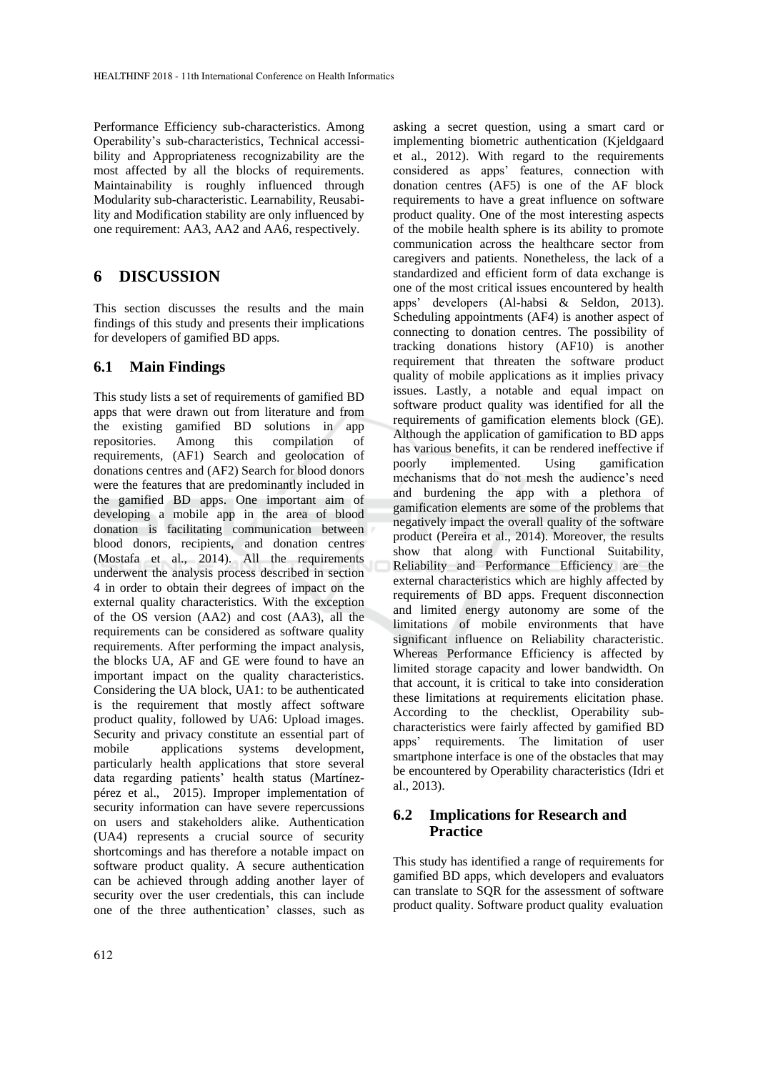Performance Efficiency sub-characteristics. Among Operability's sub-characteristics, Technical accessibility and Appropriateness recognizability are the most affected by all the blocks of requirements. Maintainability is roughly influenced through Modularity sub-characteristic. Learnability, Reusability and Modification stability are only influenced by one requirement: AA3, AA2 and AA6, respectively.

# **6 DISCUSSION**

This section discusses the results and the main findings of this study and presents their implications for developers of gamified BD apps.

# **6.1 Main Findings**

This study lists a set of requirements of gamified BD apps that were drawn out from literature and from the existing gamified BD solutions in app repositories. Among this compilation of requirements, (AF1) Search and geolocation of donations centres and (AF2) Search for blood donors were the features that are predominantly included in the gamified BD apps. One important aim of developing a mobile app in the area of blood donation is facilitating communication between blood donors, recipients, and donation centres (Mostafa et al., 2014). All the requirements underwent the analysis process described in section 4 in order to obtain their degrees of impact on the external quality characteristics. With the exception of the OS version (AA2) and cost (AA3), all the requirements can be considered as software quality requirements. After performing the impact analysis, the blocks UA, AF and GE were found to have an important impact on the quality characteristics. Considering the UA block, UA1: to be authenticated is the requirement that mostly affect software product quality, followed by UA6: Upload images. Security and privacy constitute an essential part of mobile applications systems development, particularly health applications that store several data regarding patients' health status (Martínezpérez et al., 2015). Improper implementation of security information can have severe repercussions on users and stakeholders alike. Authentication (UA4) represents a crucial source of security shortcomings and has therefore a notable impact on software product quality. A secure authentication can be achieved through adding another layer of security over the user credentials, this can include one of the three authentication' classes, such as

asking a secret question, using a smart card or implementing biometric authentication (Kjeldgaard et al., 2012). With regard to the requirements considered as apps' features, connection with donation centres (AF5) is one of the AF block requirements to have a great influence on software product quality. One of the most interesting aspects of the mobile health sphere is its ability to promote communication across the healthcare sector from caregivers and patients. Nonetheless, the lack of a standardized and efficient form of data exchange is one of the most critical issues encountered by health apps' developers (Al-habsi & Seldon, 2013). Scheduling appointments (AF4) is another aspect of connecting to donation centres. The possibility of tracking donations history (AF10) is another requirement that threaten the software product quality of mobile applications as it implies privacy issues. Lastly, a notable and equal impact on software product quality was identified for all the requirements of gamification elements block (GE). Although the application of gamification to BD apps has various benefits, it can be rendered ineffective if poorly implemented. Using gamification mechanisms that do not mesh the audience's need and burdening the app with a plethora of gamification elements are some of the problems that negatively impact the overall quality of the software product (Pereira et al., 2014). Moreover, the results show that along with Functional Suitability, Reliability and Performance Efficiency are the external characteristics which are highly affected by requirements of BD apps. Frequent disconnection and limited energy autonomy are some of the limitations of mobile environments that have significant influence on Reliability characteristic. Whereas Performance Efficiency is affected by limited storage capacity and lower bandwidth. On that account, it is critical to take into consideration these limitations at requirements elicitation phase. According to the checklist, Operability subcharacteristics were fairly affected by gamified BD apps' requirements. The limitation of user smartphone interface is one of the obstacles that may be encountered by Operability characteristics (Idri et al., 2013).

# **6.2 Implications for Research and Practice**

This study has identified a range of requirements for gamified BD apps, which developers and evaluators can translate to SQR for the assessment of software product quality. Software product quality evaluation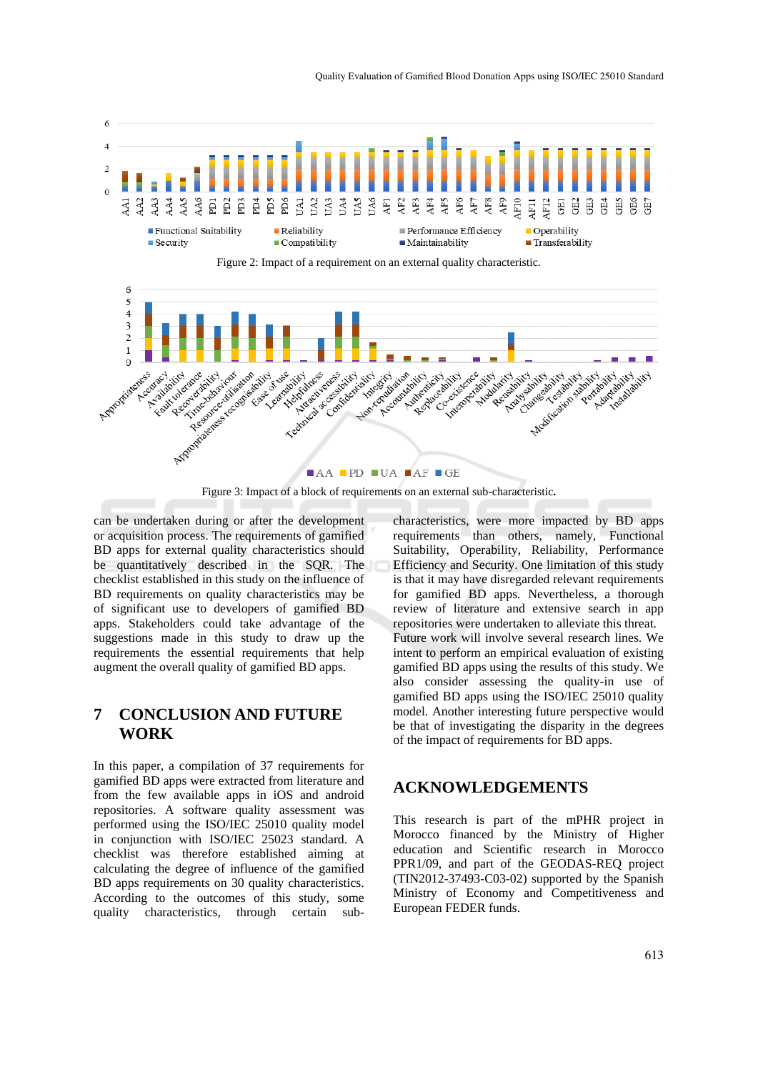



Figure 3: Impact of a block of requirements on an external sub-characteristic**.**

can be undertaken during or after the development or acquisition process. The requirements of gamified BD apps for external quality characteristics should be quantitatively described in the SQR. The checklist established in this study on the influence of BD requirements on quality characteristics may be of significant use to developers of gamified BD apps. Stakeholders could take advantage of the suggestions made in this study to draw up the requirements the essential requirements that help augment the overall quality of gamified BD apps.

# **7 CONCLUSION AND FUTURE WORK**

In this paper, a compilation of 37 requirements for gamified BD apps were extracted from literature and from the few available apps in iOS and android repositories. A software quality assessment was performed using the ISO/IEC 25010 quality model in conjunction with ISO/IEC 25023 standard. A checklist was therefore established aiming at calculating the degree of influence of the gamified BD apps requirements on 30 quality characteristics. According to the outcomes of this study, some quality characteristics, through certain subcharacteristics, were more impacted by BD apps requirements than others, namely, Functional Suitability, Operability, Reliability, Performance Efficiency and Security. One limitation of this study is that it may have disregarded relevant requirements for gamified BD apps. Nevertheless, a thorough review of literature and extensive search in app repositories were undertaken to alleviate this threat. Future work will involve several research lines. We intent to perform an empirical evaluation of existing gamified BD apps using the results of this study. We also consider assessing the quality-in use of gamified BD apps using the ISO/IEC 25010 quality model. Another interesting future perspective would be that of investigating the disparity in the degrees of the impact of requirements for BD apps.

# **ACKNOWLEDGEMENTS**

This research is part of the mPHR project in Morocco financed by the Ministry of Higher education and Scientific research in Morocco PPR1/09, and part of the GEODAS-REQ project (TIN2012-37493-C03-02) supported by the Spanish Ministry of Economy and Competitiveness and European FEDER funds.